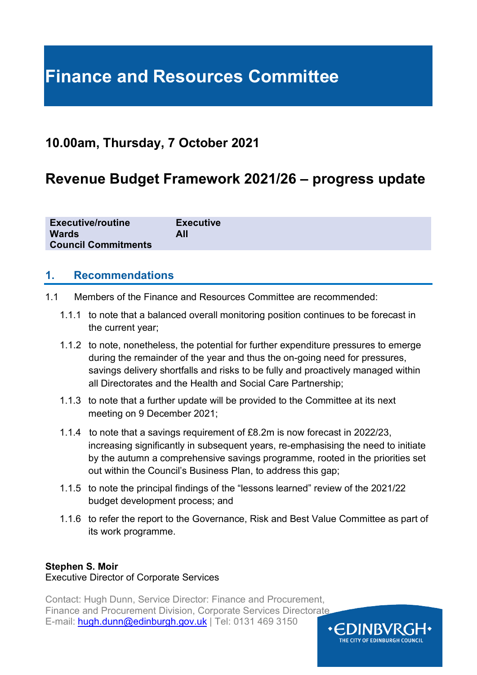# **Finance and Resources Committee**

### **10.00am, Thursday, 7 October 2021**

### **Revenue Budget Framework 2021/26 – progress update**

| <b>Executive/routine</b>   | <b>Executive</b> |
|----------------------------|------------------|
| <b>Wards</b>               | All              |
| <b>Council Commitments</b> |                  |

#### **1. Recommendations**

- 1.1 Members of the Finance and Resources Committee are recommended:
	- 1.1.1 to note that a balanced overall monitoring position continues to be forecast in the current year;
	- 1.1.2 to note, nonetheless, the potential for further expenditure pressures to emerge during the remainder of the year and thus the on-going need for pressures, savings delivery shortfalls and risks to be fully and proactively managed within all Directorates and the Health and Social Care Partnership;
	- 1.1.3 to note that a further update will be provided to the Committee at its next meeting on 9 December 2021;
	- 1.1.4 to note that a savings requirement of £8.2m is now forecast in 2022/23, increasing significantly in subsequent years, re-emphasising the need to initiate by the autumn a comprehensive savings programme, rooted in the priorities set out within the Council's Business Plan, to address this gap;
	- 1.1.5 to note the principal findings of the "lessons learned" review of the 2021/22 budget development process; and
	- 1.1.6 to refer the report to the Governance, Risk and Best Value Committee as part of its work programme.

#### **Stephen S. Moir**

#### Executive Director of Corporate Services

Contact: Hugh Dunn, Service Director: Finance and Procurement, Finance and Procurement Division, Corporate Services Directorate E-mail: [hugh.dunn@edinburgh.gov.uk](mailto:hugh.dunn@edinburgh.gov.uk) | Tel: 0131 469 3150

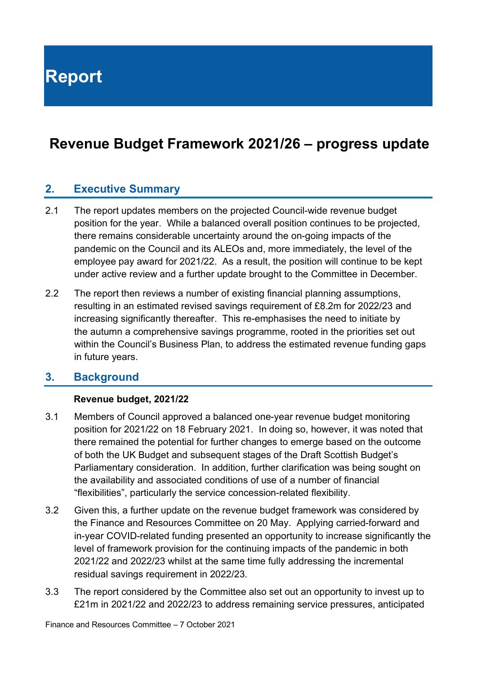**Report**

### **Revenue Budget Framework 2021/26 – progress update**

#### **2. Executive Summary**

- 2.1 The report updates members on the projected Council-wide revenue budget position for the year. While a balanced overall position continues to be projected, there remains considerable uncertainty around the on-going impacts of the pandemic on the Council and its ALEOs and, more immediately, the level of the employee pay award for 2021/22. As a result, the position will continue to be kept under active review and a further update brought to the Committee in December.
- 2.2 The report then reviews a number of existing financial planning assumptions, resulting in an estimated revised savings requirement of £8.2m for 2022/23 and increasing significantly thereafter. This re-emphasises the need to initiate by the autumn a comprehensive savings programme, rooted in the priorities set out within the Council's Business Plan, to address the estimated revenue funding gaps in future years.

#### **3. Background**

#### **Revenue budget, 2021/22**

- 3.1 Members of Council approved a balanced one-year revenue budget monitoring position for 2021/22 on 18 February 2021. In doing so, however, it was noted that there remained the potential for further changes to emerge based on the outcome of both the UK Budget and subsequent stages of the Draft Scottish Budget's Parliamentary consideration. In addition, further clarification was being sought on the availability and associated conditions of use of a number of financial "flexibilities", particularly the service concession-related flexibility.
- 3.2 Given this, a further update on the revenue budget framework was considered by the Finance and Resources Committee on 20 May. Applying carried-forward and in-year COVID-related funding presented an opportunity to increase significantly the level of framework provision for the continuing impacts of the pandemic in both 2021/22 and 2022/23 whilst at the same time fully addressing the incremental residual savings requirement in 2022/23.
- 3.3 The report considered by the Committee also set out an opportunity to invest up to £21m in 2021/22 and 2022/23 to address remaining service pressures, anticipated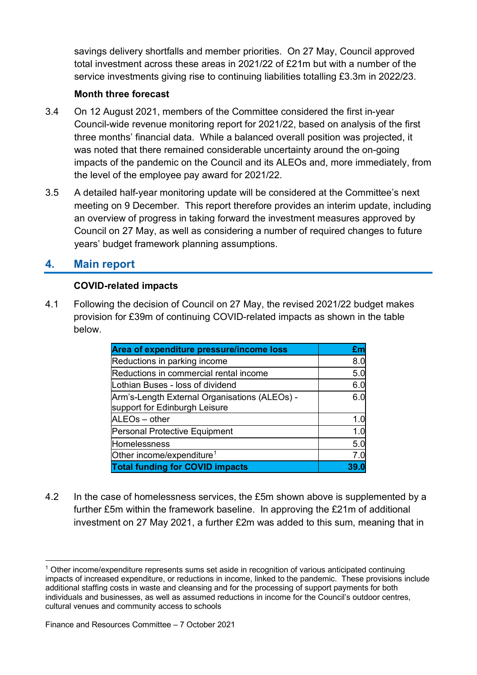savings delivery shortfalls and member priorities. On 27 May, Council approved total investment across these areas in 2021/22 of £21m but with a number of the service investments giving rise to continuing liabilities totalling £3.3m in 2022/23.

#### **Month three forecast**

- 3.4 On 12 August 2021, members of the Committee considered the first in-year Council-wide revenue monitoring report for 2021/22, based on analysis of the first three months' financial data. While a balanced overall position was projected, it was noted that there remained considerable uncertainty around the on-going impacts of the pandemic on the Council and its ALEOs and, more immediately, from the level of the employee pay award for 2021/22.
- 3.5 A detailed half-year monitoring update will be considered at the Committee's next meeting on 9 December. This report therefore provides an interim update, including an overview of progress in taking forward the investment measures approved by Council on 27 May, as well as considering a number of required changes to future years' budget framework planning assumptions.

#### **4. Main report**

#### **COVID-related impacts**

4.1 Following the decision of Council on 27 May, the revised 2021/22 budget makes provision for £39m of continuing COVID-related impacts as shown in the table below.

| Area of expenditure pressure/income loss                                       | £m   |
|--------------------------------------------------------------------------------|------|
| Reductions in parking income                                                   | 8.0  |
| Reductions in commercial rental income                                         | 5.0  |
| Lothian Buses - loss of dividend                                               | 6.0  |
| Arm's-Length External Organisations (ALEOs) -<br>support for Edinburgh Leisure | 6.0  |
| ALEOs - other                                                                  | 1.0  |
| Personal Protective Equipment                                                  | 1.0  |
| Homelessness                                                                   | 5.0  |
| Other income/expenditure <sup>1</sup>                                          | 7.0  |
| <b>Total funding for COVID impacts</b>                                         | 39.0 |

4.2 In the case of homelessness services, the £5m shown above is supplemented by a further £5m within the framework baseline. In approving the £21m of additional investment on 27 May 2021, a further £2m was added to this sum, meaning that in

<span id="page-2-0"></span><sup>1</sup> Other income/expenditure represents sums set aside in recognition of various anticipated continuing impacts of increased expenditure, or reductions in income, linked to the pandemic. These provisions include additional staffing costs in waste and cleansing and for the processing of support payments for both individuals and businesses, as well as assumed reductions in income for the Council's outdoor centres, cultural venues and community access to schools

Finance and Resources Committee – 7 October 2021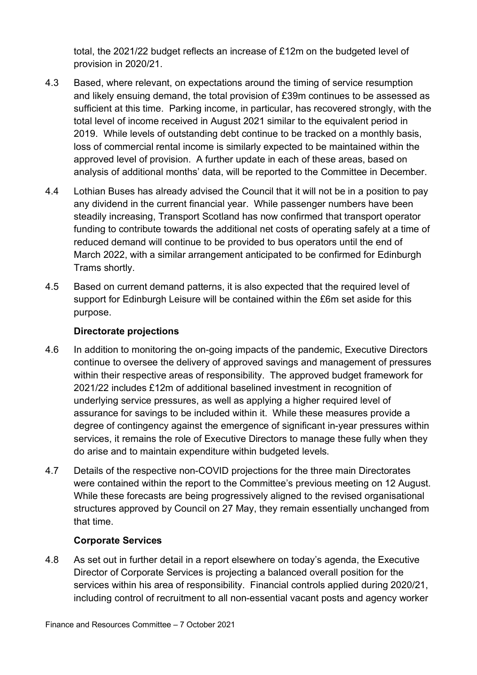total, the 2021/22 budget reflects an increase of £12m on the budgeted level of provision in 2020/21.

- 4.3 Based, where relevant, on expectations around the timing of service resumption and likely ensuing demand, the total provision of £39m continues to be assessed as sufficient at this time. Parking income, in particular, has recovered strongly, with the total level of income received in August 2021 similar to the equivalent period in 2019. While levels of outstanding debt continue to be tracked on a monthly basis, loss of commercial rental income is similarly expected to be maintained within the approved level of provision. A further update in each of these areas, based on analysis of additional months' data, will be reported to the Committee in December.
- 4.4 Lothian Buses has already advised the Council that it will not be in a position to pay any dividend in the current financial year. While passenger numbers have been steadily increasing, Transport Scotland has now confirmed that transport operator funding to contribute towards the additional net costs of operating safely at a time of reduced demand will continue to be provided to bus operators until the end of March 2022, with a similar arrangement anticipated to be confirmed for Edinburgh Trams shortly.
- 4.5 Based on current demand patterns, it is also expected that the required level of support for Edinburgh Leisure will be contained within the £6m set aside for this purpose.

#### **Directorate projections**

- 4.6 In addition to monitoring the on-going impacts of the pandemic, Executive Directors continue to oversee the delivery of approved savings and management of pressures within their respective areas of responsibility. The approved budget framework for 2021/22 includes £12m of additional baselined investment in recognition of underlying service pressures, as well as applying a higher required level of assurance for savings to be included within it. While these measures provide a degree of contingency against the emergence of significant in-year pressures within services, it remains the role of Executive Directors to manage these fully when they do arise and to maintain expenditure within budgeted levels.
- 4.7 Details of the respective non-COVID projections for the three main Directorates were contained within the report to the Committee's previous meeting on 12 August. While these forecasts are being progressively aligned to the revised organisational structures approved by Council on 27 May, they remain essentially unchanged from that time.

#### **Corporate Services**

4.8 As set out in further detail in a report elsewhere on today's agenda, the Executive Director of Corporate Services is projecting a balanced overall position for the services within his area of responsibility. Financial controls applied during 2020/21, including control of recruitment to all non-essential vacant posts and agency worker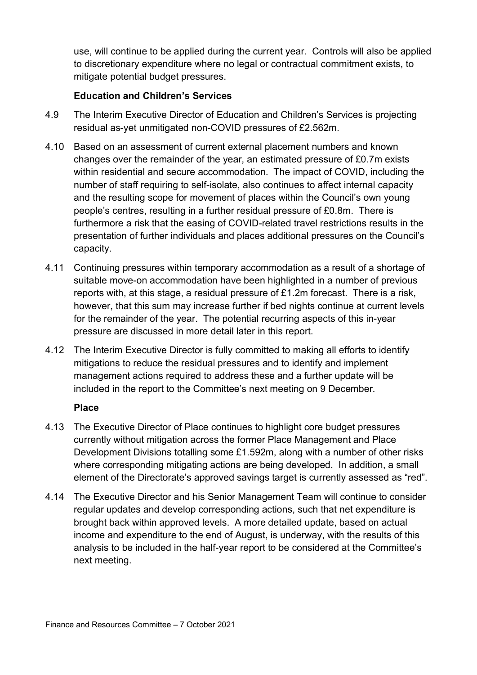use, will continue to be applied during the current year. Controls will also be applied to discretionary expenditure where no legal or contractual commitment exists, to mitigate potential budget pressures.

#### **Education and Children's Services**

- 4.9 The Interim Executive Director of Education and Children's Services is projecting residual as-yet unmitigated non-COVID pressures of £2.562m.
- 4.10 Based on an assessment of current external placement numbers and known changes over the remainder of the year, an estimated pressure of £0.7m exists within residential and secure accommodation. The impact of COVID, including the number of staff requiring to self-isolate, also continues to affect internal capacity and the resulting scope for movement of places within the Council's own young people's centres, resulting in a further residual pressure of £0.8m. There is furthermore a risk that the easing of COVID-related travel restrictions results in the presentation of further individuals and places additional pressures on the Council's capacity.
- 4.11 Continuing pressures within temporary accommodation as a result of a shortage of suitable move-on accommodation have been highlighted in a number of previous reports with, at this stage, a residual pressure of £1.2m forecast. There is a risk, however, that this sum may increase further if bed nights continue at current levels for the remainder of the year. The potential recurring aspects of this in-year pressure are discussed in more detail later in this report.
- 4.12 The Interim Executive Director is fully committed to making all efforts to identify mitigations to reduce the residual pressures and to identify and implement management actions required to address these and a further update will be included in the report to the Committee's next meeting on 9 December.

#### **Place**

- 4.13 The Executive Director of Place continues to highlight core budget pressures currently without mitigation across the former Place Management and Place Development Divisions totalling some £1.592m, along with a number of other risks where corresponding mitigating actions are being developed. In addition, a small element of the Directorate's approved savings target is currently assessed as "red".
- 4.14 The Executive Director and his Senior Management Team will continue to consider regular updates and develop corresponding actions, such that net expenditure is brought back within approved levels. A more detailed update, based on actual income and expenditure to the end of August, is underway, with the results of this analysis to be included in the half-year report to be considered at the Committee's next meeting.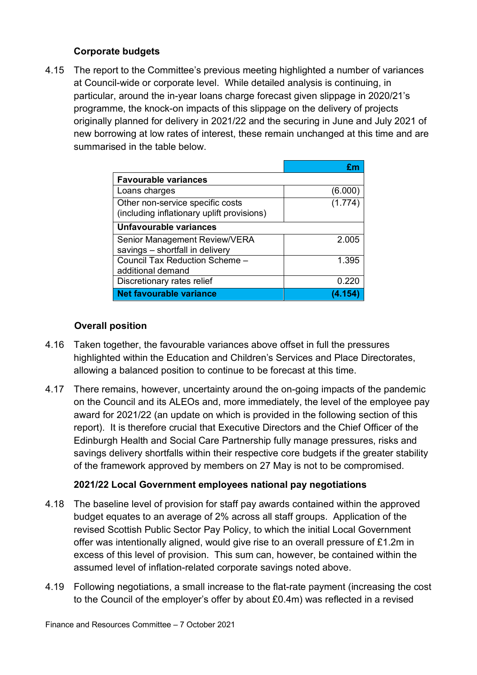#### **Corporate budgets**

4.15 The report to the Committee's previous meeting highlighted a number of variances at Council-wide or corporate level. While detailed analysis is continuing, in particular, around the in-year loans charge forecast given slippage in 2020/21's programme, the knock-on impacts of this slippage on the delivery of projects originally planned for delivery in 2021/22 and the securing in June and July 2021 of new borrowing at low rates of interest, these remain unchanged at this time and are summarised in the table below.

| <b>Favourable variances</b>                                                    |         |
|--------------------------------------------------------------------------------|---------|
| Loans charges                                                                  | (6.000) |
| Other non-service specific costs<br>(including inflationary uplift provisions) | (1.774) |
| Unfavourable variances                                                         |         |
| Senior Management Review/VERA<br>savings - shortfall in delivery               | 2.005   |
| Council Tax Reduction Scheme -<br>additional demand                            | 1.395   |
| Discretionary rates relief                                                     | 0.220   |
| <b>Net favourable variance</b>                                                 |         |

#### **Overall position**

- 4.16 Taken together, the favourable variances above offset in full the pressures highlighted within the Education and Children's Services and Place Directorates, allowing a balanced position to continue to be forecast at this time.
- 4.17 There remains, however, uncertainty around the on-going impacts of the pandemic on the Council and its ALEOs and, more immediately, the level of the employee pay award for 2021/22 (an update on which is provided in the following section of this report). It is therefore crucial that Executive Directors and the Chief Officer of the Edinburgh Health and Social Care Partnership fully manage pressures, risks and savings delivery shortfalls within their respective core budgets if the greater stability of the framework approved by members on 27 May is not to be compromised.

#### **2021/22 Local Government employees national pay negotiations**

- 4.18 The baseline level of provision for staff pay awards contained within the approved budget equates to an average of 2% across all staff groups. Application of the revised Scottish Public Sector Pay Policy, to which the initial Local Government offer was intentionally aligned, would give rise to an overall pressure of £1.2m in excess of this level of provision. This sum can, however, be contained within the assumed level of inflation-related corporate savings noted above.
- 4.19 Following negotiations, a small increase to the flat-rate payment (increasing the cost to the Council of the employer's offer by about £0.4m) was reflected in a revised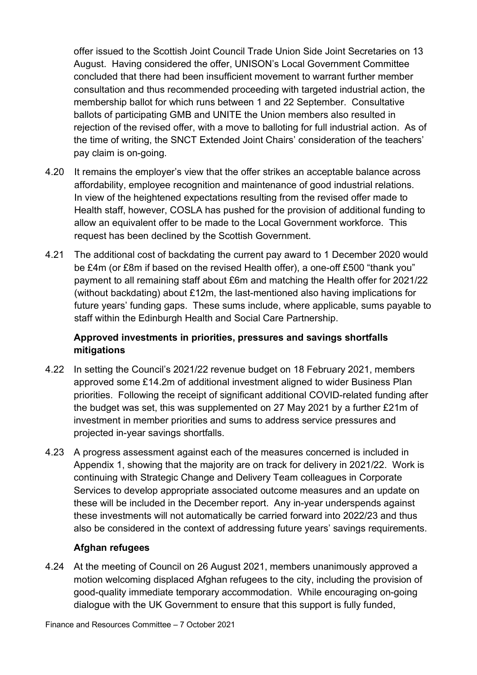offer issued to the Scottish Joint Council Trade Union Side Joint Secretaries on 13 August. Having considered the offer, UNISON's Local Government Committee concluded that there had been insufficient movement to warrant further member consultation and thus recommended proceeding with targeted industrial action, the membership ballot for which runs between 1 and 22 September. Consultative ballots of participating GMB and UNITE the Union members also resulted in rejection of the revised offer, with a move to balloting for full industrial action. As of the time of writing, the SNCT Extended Joint Chairs' consideration of the teachers' pay claim is on-going.

- 4.20 It remains the employer's view that the offer strikes an acceptable balance across affordability, employee recognition and maintenance of good industrial relations. In view of the heightened expectations resulting from the revised offer made to Health staff, however, COSLA has pushed for the provision of additional funding to allow an equivalent offer to be made to the Local Government workforce. This request has been declined by the Scottish Government.
- 4.21 The additional cost of backdating the current pay award to 1 December 2020 would be £4m (or £8m if based on the revised Health offer), a one-off £500 "thank you" payment to all remaining staff about £6m and matching the Health offer for 2021/22 (without backdating) about £12m, the last-mentioned also having implications for future years' funding gaps. These sums include, where applicable, sums payable to staff within the Edinburgh Health and Social Care Partnership.

#### **Approved investments in priorities, pressures and savings shortfalls mitigations**

- 4.22 In setting the Council's 2021/22 revenue budget on 18 February 2021, members approved some £14.2m of additional investment aligned to wider Business Plan priorities. Following the receipt of significant additional COVID-related funding after the budget was set, this was supplemented on 27 May 2021 by a further £21m of investment in member priorities and sums to address service pressures and projected in-year savings shortfalls.
- 4.23 A progress assessment against each of the measures concerned is included in Appendix 1, showing that the majority are on track for delivery in 2021/22. Work is continuing with Strategic Change and Delivery Team colleagues in Corporate Services to develop appropriate associated outcome measures and an update on these will be included in the December report. Any in-year underspends against these investments will not automatically be carried forward into 2022/23 and thus also be considered in the context of addressing future years' savings requirements.

#### **Afghan refugees**

4.24 At the meeting of Council on 26 August 2021, members unanimously approved a motion welcoming displaced Afghan refugees to the city, including the provision of good-quality immediate temporary accommodation. While encouraging on-going dialogue with the UK Government to ensure that this support is fully funded,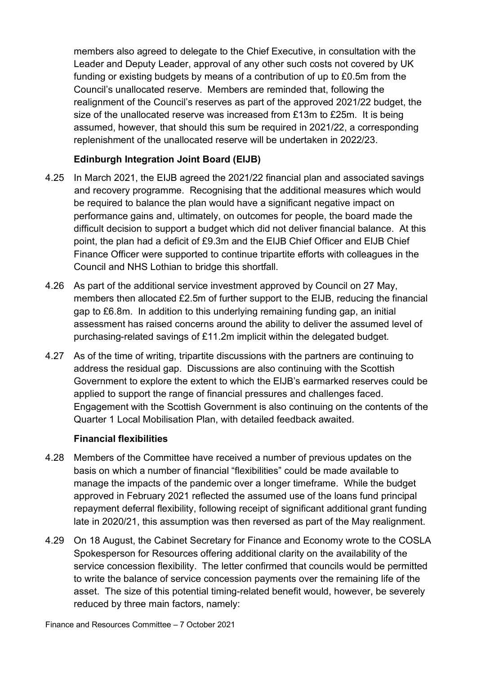members also agreed to delegate to the Chief Executive, in consultation with the Leader and Deputy Leader, approval of any other such costs not covered by UK funding or existing budgets by means of a contribution of up to £0.5m from the Council's unallocated reserve. Members are reminded that, following the realignment of the Council's reserves as part of the approved 2021/22 budget, the size of the unallocated reserve was increased from £13m to £25m. It is being assumed, however, that should this sum be required in 2021/22, a corresponding replenishment of the unallocated reserve will be undertaken in 2022/23.

#### **Edinburgh Integration Joint Board (EIJB)**

- 4.25 In March 2021, the EIJB agreed the 2021/22 financial plan and associated savings and recovery programme. Recognising that the additional measures which would be required to balance the plan would have a significant negative impact on performance gains and, ultimately, on outcomes for people, the board made the difficult decision to support a budget which did not deliver financial balance. At this point, the plan had a deficit of £9.3m and the EIJB Chief Officer and EIJB Chief Finance Officer were supported to continue tripartite efforts with colleagues in the Council and NHS Lothian to bridge this shortfall.
- 4.26 As part of the additional service investment approved by Council on 27 May, members then allocated £2.5m of further support to the EIJB, reducing the financial gap to £6.8m. In addition to this underlying remaining funding gap, an initial assessment has raised concerns around the ability to deliver the assumed level of purchasing-related savings of £11.2m implicit within the delegated budget.
- 4.27 As of the time of writing, tripartite discussions with the partners are continuing to address the residual gap. Discussions are also continuing with the Scottish Government to explore the extent to which the EIJB's earmarked reserves could be applied to support the range of financial pressures and challenges faced. Engagement with the Scottish Government is also continuing on the contents of the Quarter 1 Local Mobilisation Plan, with detailed feedback awaited.

#### **Financial flexibilities**

- 4.28 Members of the Committee have received a number of previous updates on the basis on which a number of financial "flexibilities" could be made available to manage the impacts of the pandemic over a longer timeframe. While the budget approved in February 2021 reflected the assumed use of the loans fund principal repayment deferral flexibility, following receipt of significant additional grant funding late in 2020/21, this assumption was then reversed as part of the May realignment.
- 4.29 On 18 August, the Cabinet Secretary for Finance and Economy wrote to the COSLA Spokesperson for Resources offering additional clarity on the availability of the service concession flexibility. The letter confirmed that councils would be permitted to write the balance of service concession payments over the remaining life of the asset. The size of this potential timing-related benefit would, however, be severely reduced by three main factors, namely:

Finance and Resources Committee – 7 October 2021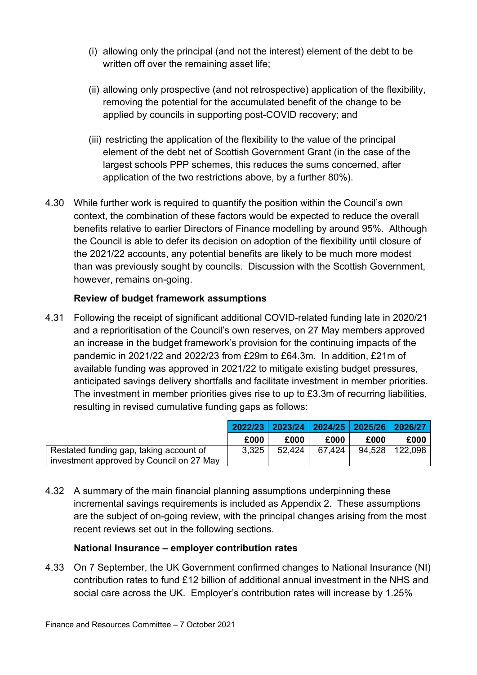- (i) allowing only the principal (and not the interest) element of the debt to be written off over the remaining asset life;
- (ii) allowing only prospective (and not retrospective) application of the flexibility, removing the potential for the accumulated benefit of the change to be applied by councils in supporting post-COVID recovery; and
- (iii) restricting the application of the flexibility to the value of the principal element of the debt net of Scottish Government Grant (in the case of the largest schools PPP schemes, this reduces the sums concerned, after application of the two restrictions above, by a further 80%).
- 4.30 While further work is required to quantify the position within the Council's own context, the combination of these factors would be expected to reduce the overall benefits relative to earlier Directors of Finance modelling by around 95%. Although the Council is able to defer its decision on adoption of the flexibility until closure of the 2021/22 accounts, any potential benefits are likely to be much more modest than was previously sought by councils. Discussion with the Scottish Government, however, remains on-going.

#### **Review of budget framework assumptions**

4.31 Following the receipt of significant additional COVID-related funding late in 2020/21 and a reprioritisation of the Council's own reserves, on 27 May members approved an increase in the budget framework's provision for the continuing impacts of the pandemic in 2021/22 and 2022/23 from £29m to £64.3m. In addition, £21m of available funding was approved in 2021/22 to mitigate existing budget pressures, anticipated savings delivery shortfalls and facilitate investment in member priorities. The investment in member priorities gives rise to up to £3.3m of recurring liabilities, resulting in revised cumulative funding gaps as follows:

|                                          |       |        |        |      | 2022/23 2023/24 2024/25 2025/26 2026/27 |
|------------------------------------------|-------|--------|--------|------|-----------------------------------------|
|                                          | £000  | £000   | £000   | £000 | £000                                    |
| Restated funding gap, taking account of  | 3,325 | 52.424 | 67,424 |      | 94,528   122,098                        |
| investment approved by Council on 27 May |       |        |        |      |                                         |

4.32 A summary of the main financial planning assumptions underpinning these incremental savings requirements is included as Appendix 2. These assumptions are the subject of on-going review, with the principal changes arising from the most recent reviews set out in the following sections.

#### **National Insurance – employer contribution rates**

4.33 On 7 September, the UK Government confirmed changes to National Insurance (NI) contribution rates to fund £12 billion of additional annual investment in the NHS and social care across the UK. Employer's contribution rates will increase by 1.25%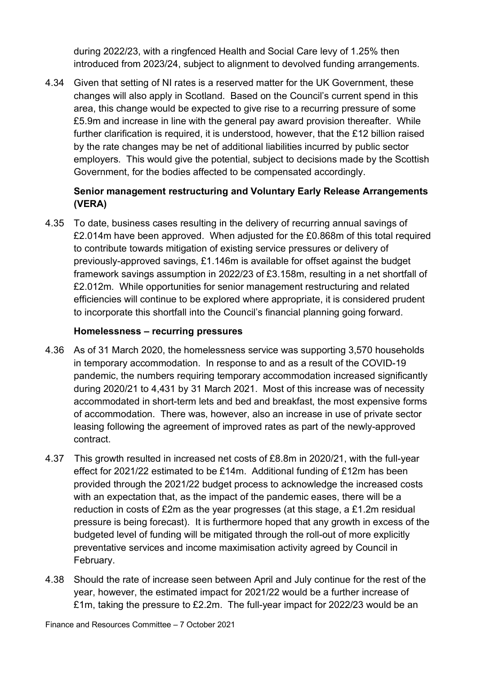during 2022/23, with a ringfenced Health and Social Care levy of 1.25% then introduced from 2023/24, subject to alignment to devolved funding arrangements.

4.34 Given that setting of NI rates is a reserved matter for the UK Government, these changes will also apply in Scotland. Based on the Council's current spend in this area, this change would be expected to give rise to a recurring pressure of some £5.9m and increase in line with the general pay award provision thereafter. While further clarification is required, it is understood, however, that the £12 billion raised by the rate changes may be net of additional liabilities incurred by public sector employers. This would give the potential, subject to decisions made by the Scottish Government, for the bodies affected to be compensated accordingly.

#### **Senior management restructuring and Voluntary Early Release Arrangements (VERA)**

4.35 To date, business cases resulting in the delivery of recurring annual savings of £2.014m have been approved. When adjusted for the £0.868m of this total required to contribute towards mitigation of existing service pressures or delivery of previously-approved savings, £1.146m is available for offset against the budget framework savings assumption in 2022/23 of £3.158m, resulting in a net shortfall of £2.012m. While opportunities for senior management restructuring and related efficiencies will continue to be explored where appropriate, it is considered prudent to incorporate this shortfall into the Council's financial planning going forward.

#### **Homelessness – recurring pressures**

- 4.36 As of 31 March 2020, the homelessness service was supporting 3,570 households in temporary accommodation. In response to and as a result of the COVID-19 pandemic, the numbers requiring temporary accommodation increased significantly during 2020/21 to 4,431 by 31 March 2021. Most of this increase was of necessity accommodated in short-term lets and bed and breakfast, the most expensive forms of accommodation. There was, however, also an increase in use of private sector leasing following the agreement of improved rates as part of the newly-approved contract.
- 4.37 This growth resulted in increased net costs of £8.8m in 2020/21, with the full-year effect for 2021/22 estimated to be £14m. Additional funding of £12m has been provided through the 2021/22 budget process to acknowledge the increased costs with an expectation that, as the impact of the pandemic eases, there will be a reduction in costs of £2m as the year progresses (at this stage, a £1.2m residual pressure is being forecast). It is furthermore hoped that any growth in excess of the budgeted level of funding will be mitigated through the roll-out of more explicitly preventative services and income maximisation activity agreed by Council in February.
- 4.38 Should the rate of increase seen between April and July continue for the rest of the year, however, the estimated impact for 2021/22 would be a further increase of £1m, taking the pressure to £2.2m. The full-year impact for 2022/23 would be an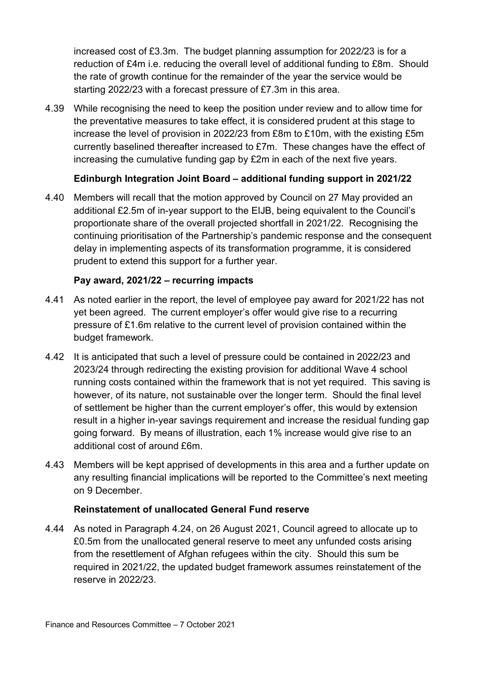increased cost of £3.3m. The budget planning assumption for 2022/23 is for a reduction of £4m i.e. reducing the overall level of additional funding to £8m. Should the rate of growth continue for the remainder of the year the service would be starting 2022/23 with a forecast pressure of £7.3m in this area.

4.39 While recognising the need to keep the position under review and to allow time for the preventative measures to take effect, it is considered prudent at this stage to increase the level of provision in 2022/23 from £8m to £10m, with the existing £5m currently baselined thereafter increased to £7m. These changes have the effect of increasing the cumulative funding gap by £2m in each of the next five years.

#### **Edinburgh Integration Joint Board – additional funding support in 2021/22**

4.40 Members will recall that the motion approved by Council on 27 May provided an additional £2.5m of in-year support to the EIJB, being equivalent to the Council's proportionate share of the overall projected shortfall in 2021/22. Recognising the continuing prioritisation of the Partnership's pandemic response and the consequent delay in implementing aspects of its transformation programme, it is considered prudent to extend this support for a further year.

#### **Pay award, 2021/22 – recurring impacts**

- 4.41 As noted earlier in the report, the level of employee pay award for 2021/22 has not yet been agreed. The current employer's offer would give rise to a recurring pressure of £1.6m relative to the current level of provision contained within the budget framework.
- 4.42 It is anticipated that such a level of pressure could be contained in 2022/23 and 2023/24 through redirecting the existing provision for additional Wave 4 school running costs contained within the framework that is not yet required. This saving is however, of its nature, not sustainable over the longer term. Should the final level of settlement be higher than the current employer's offer, this would by extension result in a higher in-year savings requirement and increase the residual funding gap going forward. By means of illustration, each 1% increase would give rise to an additional cost of around £6m.
- 4.43 Members will be kept apprised of developments in this area and a further update on any resulting financial implications will be reported to the Committee's next meeting on 9 December.

#### **Reinstatement of unallocated General Fund reserve**

4.44 As noted in Paragraph 4.24, on 26 August 2021, Council agreed to allocate up to £0.5m from the unallocated general reserve to meet any unfunded costs arising from the resettlement of Afghan refugees within the city. Should this sum be required in 2021/22, the updated budget framework assumes reinstatement of the reserve in 2022/23.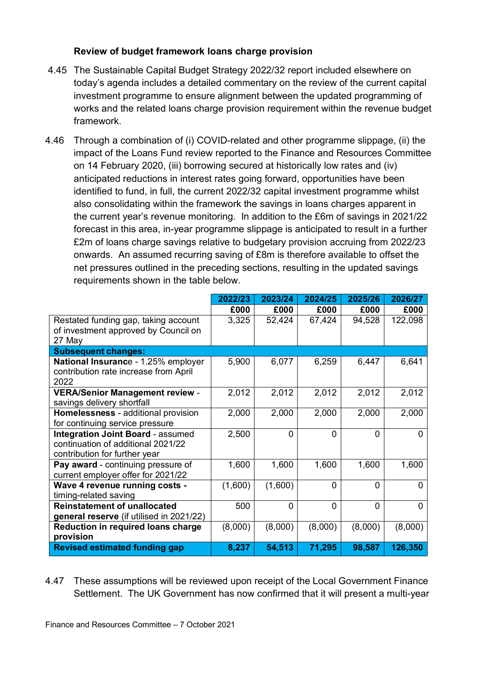#### **Review of budget framework loans charge provision**

- 4.45 The Sustainable Capital Budget Strategy 2022/32 report included elsewhere on today's agenda includes a detailed commentary on the review of the current capital investment programme to ensure alignment between the updated programming of works and the related loans charge provision requirement within the revenue budget framework.
- 4.46 Through a combination of (i) COVID-related and other programme slippage, (ii) the impact of the Loans Fund review reported to the Finance and Resources Committee on 14 February 2020, (iii) borrowing secured at historically low rates and (iv) anticipated reductions in interest rates going forward, opportunities have been identified to fund, in full, the current 2022/32 capital investment programme whilst also consolidating within the framework the savings in loans charges apparent in the current year's revenue monitoring. In addition to the £6m of savings in 2021/22 forecast in this area, in-year programme slippage is anticipated to result in a further £2m of loans charge savings relative to budgetary provision accruing from 2022/23 onwards. An assumed recurring saving of £8m is therefore available to offset the net pressures outlined in the preceding sections, resulting in the updated savings requirements shown in the table below.

|                                           | 2022/23 | 2023/24  | 2024/25     | 2025/26  | 2026/27  |
|-------------------------------------------|---------|----------|-------------|----------|----------|
|                                           | £000    | £000     | £000        | £000     | £000     |
| Restated funding gap, taking account      | 3,325   | 52,424   | 67,424      | 94,528   | 122,098  |
| of investment approved by Council on      |         |          |             |          |          |
| 27 May                                    |         |          |             |          |          |
| <b>Subsequent changes:</b>                |         |          |             |          |          |
| National Insurance - 1.25% employer       | 5,900   | 6,077    | 6,259       | 6,447    | 6,641    |
| contribution rate increase from April     |         |          |             |          |          |
| 2022                                      |         |          |             |          |          |
| <b>VERA/Senior Management review -</b>    | 2,012   | 2,012    | 2,012       | 2,012    | 2,012    |
| savings delivery shortfall                |         |          |             |          |          |
| Homelessness - additional provision       | 2,000   | 2,000    | 2,000       | 2,000    | 2,000    |
| for continuing service pressure           |         |          |             |          |          |
| <b>Integration Joint Board - assumed</b>  | 2,500   | $\Omega$ | $\Omega$    | $\Omega$ | $\Omega$ |
| continuation of additional 2021/22        |         |          |             |          |          |
| contribution for further year             |         |          |             |          |          |
| Pay award - continuing pressure of        | 1,600   | 1,600    | 1,600       | 1,600    | 1,600    |
| current employer offer for 2021/22        |         |          |             |          |          |
| Wave 4 revenue running costs -            | (1,600) | (1,600)  | $\mathbf 0$ | $\Omega$ | $\Omega$ |
| timing-related saving                     |         |          |             |          |          |
| <b>Reinstatement of unallocated</b>       | 500     | $\Omega$ | $\Omega$    | $\Omega$ | $\Omega$ |
| general reserve (if utilised in 2021/22)  |         |          |             |          |          |
| <b>Reduction in required loans charge</b> | (8,000) | (8,000)  | (8,000)     | (8,000)  | (8,000)  |
| provision                                 |         |          |             |          |          |
| <b>Revised estimated funding gap</b>      | 8,237   | 54,513   | 71,295      | 98,587   | 126,350  |

4.47 These assumptions will be reviewed upon receipt of the Local Government Finance Settlement. The UK Government has now confirmed that it will present a multi-year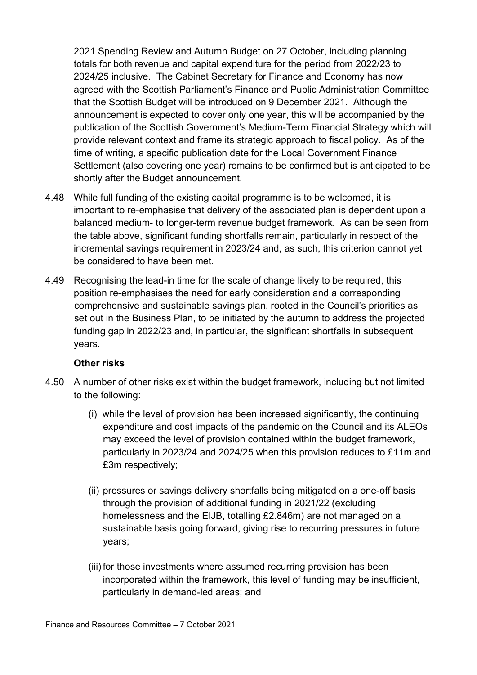2021 Spending Review and Autumn Budget on 27 October, including planning totals for both revenue and capital expenditure for the period from 2022/23 to 2024/25 inclusive. The Cabinet Secretary for Finance and Economy has now agreed with the Scottish Parliament's Finance and Public Administration Committee that the Scottish Budget will be introduced on 9 December 2021. Although the announcement is expected to cover only one year, this will be accompanied by the publication of the Scottish Government's Medium-Term Financial Strategy which will provide relevant context and frame its strategic approach to fiscal policy. As of the time of writing, a specific publication date for the Local Government Finance Settlement (also covering one year) remains to be confirmed but is anticipated to be shortly after the Budget announcement.

- 4.48 While full funding of the existing capital programme is to be welcomed, it is important to re-emphasise that delivery of the associated plan is dependent upon a balanced medium- to longer-term revenue budget framework. As can be seen from the table above, significant funding shortfalls remain, particularly in respect of the incremental savings requirement in 2023/24 and, as such, this criterion cannot yet be considered to have been met.
- 4.49 Recognising the lead-in time for the scale of change likely to be required, this position re-emphasises the need for early consideration and a corresponding comprehensive and sustainable savings plan, rooted in the Council's priorities as set out in the Business Plan, to be initiated by the autumn to address the projected funding gap in 2022/23 and, in particular, the significant shortfalls in subsequent years.

#### **Other risks**

- 4.50 A number of other risks exist within the budget framework, including but not limited to the following:
	- (i) while the level of provision has been increased significantly, the continuing expenditure and cost impacts of the pandemic on the Council and its ALEOs may exceed the level of provision contained within the budget framework, particularly in 2023/24 and 2024/25 when this provision reduces to £11m and £3m respectively;
	- (ii) pressures or savings delivery shortfalls being mitigated on a one-off basis through the provision of additional funding in 2021/22 (excluding homelessness and the EIJB, totalling £2.846m) are not managed on a sustainable basis going forward, giving rise to recurring pressures in future years;
	- (iii) for those investments where assumed recurring provision has been incorporated within the framework, this level of funding may be insufficient, particularly in demand-led areas; and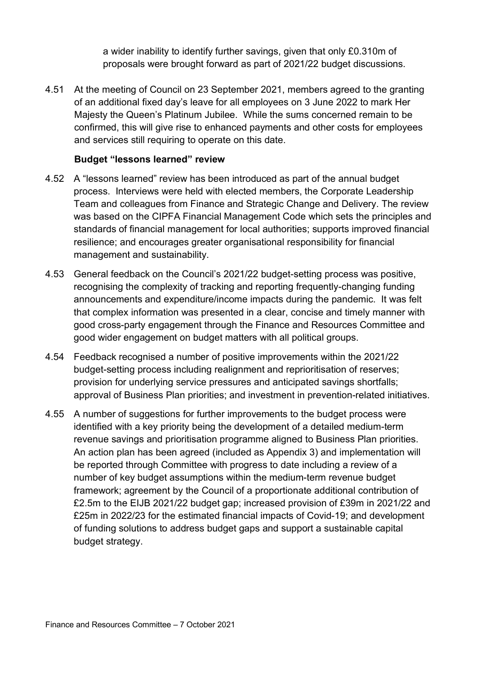a wider inability to identify further savings, given that only £0.310m of proposals were brought forward as part of 2021/22 budget discussions.

4.51 At the meeting of Council on 23 September 2021, members agreed to the granting of an additional fixed day's leave for all employees on 3 June 2022 to mark Her Majesty the Queen's Platinum Jubilee. While the sums concerned remain to be confirmed, this will give rise to enhanced payments and other costs for employees and services still requiring to operate on this date.

#### **Budget "lessons learned" review**

- 4.52 A "lessons learned" review has been introduced as part of the annual budget process. Interviews were held with elected members, the Corporate Leadership Team and colleagues from Finance and Strategic Change and Delivery. The review was based on the CIPFA Financial Management Code which sets the principles and standards of financial management for local authorities; supports improved financial resilience; and encourages greater organisational responsibility for financial management and sustainability.
- 4.53 General feedback on the Council's 2021/22 budget-setting process was positive, recognising the complexity of tracking and reporting frequently-changing funding announcements and expenditure/income impacts during the pandemic. It was felt that complex information was presented in a clear, concise and timely manner with good cross-party engagement through the Finance and Resources Committee and good wider engagement on budget matters with all political groups.
- 4.54 Feedback recognised a number of positive improvements within the 2021/22 budget-setting process including realignment and reprioritisation of reserves; provision for underlying service pressures and anticipated savings shortfalls; approval of Business Plan priorities; and investment in prevention-related initiatives.
- 4.55 A number of suggestions for further improvements to the budget process were identified with a key priority being the development of a detailed medium-term revenue savings and prioritisation programme aligned to Business Plan priorities. An action plan has been agreed (included as Appendix 3) and implementation will be reported through Committee with progress to date including a review of a number of key budget assumptions within the medium-term revenue budget framework; agreement by the Council of a proportionate additional contribution of £2.5m to the EIJB 2021/22 budget gap; increased provision of £39m in 2021/22 and £25m in 2022/23 for the estimated financial impacts of Covid-19; and development of funding solutions to address budget gaps and support a sustainable capital budget strategy.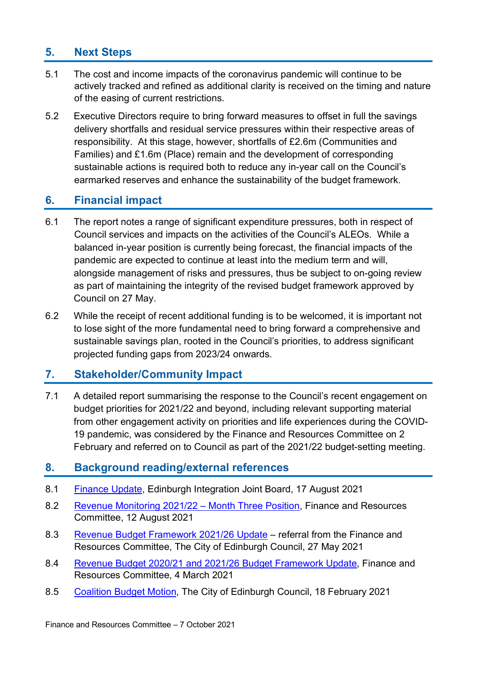### **5. Next Steps**

- 5.1 The cost and income impacts of the coronavirus pandemic will continue to be actively tracked and refined as additional clarity is received on the timing and nature of the easing of current restrictions.
- 5.2 Executive Directors require to bring forward measures to offset in full the savings delivery shortfalls and residual service pressures within their respective areas of responsibility. At this stage, however, shortfalls of £2.6m (Communities and Families) and £1.6m (Place) remain and the development of corresponding sustainable actions is required both to reduce any in-year call on the Council's earmarked reserves and enhance the sustainability of the budget framework.

#### **6. Financial impact**

- 6.1 The report notes a range of significant expenditure pressures, both in respect of Council services and impacts on the activities of the Council's ALEOs. While a balanced in-year position is currently being forecast, the financial impacts of the pandemic are expected to continue at least into the medium term and will, alongside management of risks and pressures, thus be subject to on-going review as part of maintaining the integrity of the revised budget framework approved by Council on 27 May.
- 6.2 While the receipt of recent additional funding is to be welcomed, it is important not to lose sight of the more fundamental need to bring forward a comprehensive and sustainable savings plan, rooted in the Council's priorities, to address significant projected funding gaps from 2023/24 onwards.

#### **7. Stakeholder/Community Impact**

7.1 A detailed report summarising the response to the Council's recent engagement on budget priorities for 2021/22 and beyond, including relevant supporting material from other engagement activity on priorities and life experiences during the COVID-19 pandemic, was considered by the Finance and Resources Committee on 2 February and referred on to Council as part of the 2021/22 budget-setting meeting.

#### **8. Background reading/external references**

- 8.1 [Finance Update,](ttps://democracy.edinburgh.gov.uk/documents/s36027/7.1%20Financial%20Update.pdf) Edinburgh Integration Joint Board, 17 August 2021
- 8.2 [Revenue Monitoring 2021/22 –](https://democracy.edinburgh.gov.uk/documents/s35951/Item%207.3%20-%20Revenue%20Monitoring%202021-22%20month%20three%20position.pdf) Month Three Position, Finance and Resources Committee, 12 August 2021
- 8.3 [Revenue Budget Framework 2021/26 Update](https://democracy.edinburgh.gov.uk/documents/s34214/Item%207.2%20-%20Revenue%20Budget%20Framework%202021-26%20Update%20-%20Referral%20from%20FR%20Cttee.pdf) referral from the Finance and Resources Committee, The City of Edinburgh Council, 27 May 2021
- 8.4 [Revenue Budget 2020/21 and 2021/26 Budget Framework Update,](https://democracy.edinburgh.gov.uk/documents/s32043/7.3%20-%20Revenue%20Budget%20202021%20and%202021-26%20Budget%20Framework%20Update.pdf) Finance and Resources Committee, 4 March 2021
- 8.5 [Coalition Budget Motion,](https://democracy.edinburgh.gov.uk/documents/s31642/Coalition%20Budget%20Motion%202021-22.pdf) The City of Edinburgh Council, 18 February 2021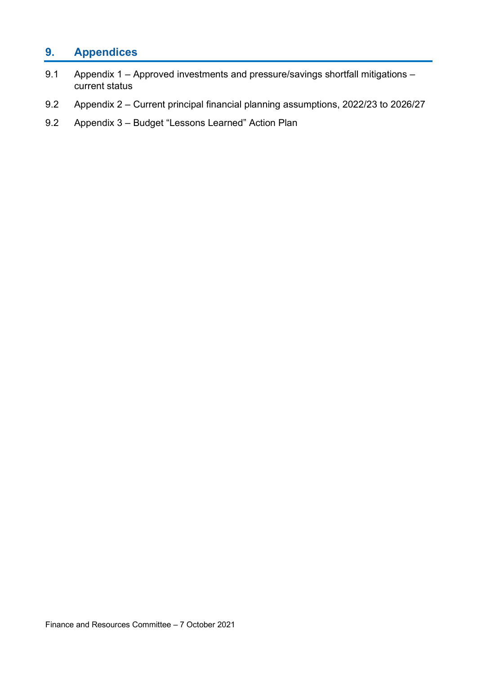### **9. Appendices**

- 9.1 Appendix 1 Approved investments and pressure/savings shortfall mitigations current status
- 9.2 Appendix 2 Current principal financial planning assumptions, 2022/23 to 2026/27
- 9.2 Appendix 3 Budget "Lessons Learned" Action Plan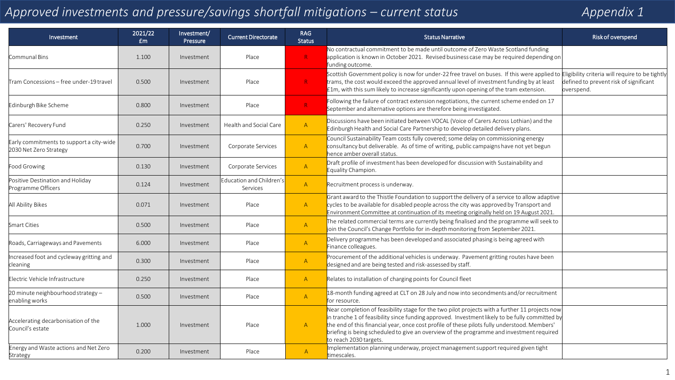## *Approved investments and pressure/savings shortfall mitigations – current status Appendix 1*

| Investment                                                         | 2021/22<br>£m | Investment/<br>Pressure | <b>Current Directorate</b>           | <b>RAG</b><br><b>Status</b> | <b>Status Narrative</b>                                                                                                                                                                                                                                                                                                                                                                                                | Risk of overspend                                    |
|--------------------------------------------------------------------|---------------|-------------------------|--------------------------------------|-----------------------------|------------------------------------------------------------------------------------------------------------------------------------------------------------------------------------------------------------------------------------------------------------------------------------------------------------------------------------------------------------------------------------------------------------------------|------------------------------------------------------|
| Communal Bins                                                      | 1.100         | Investment              | Place                                | R <sub>1</sub>              | No contractual commitment to be made until outcome of Zero Waste Scotland funding<br>application is known in October 2021. Revised business case may be required depending on<br>funding outcome.                                                                                                                                                                                                                      |                                                      |
| Tram Concessions – free under-19 travel                            | 0.500         | Investment              | Place                                | R                           | Scottish Government policy is now for under-22 free travel on buses. If this were applied to Eligibility criteria will require to be tightly<br>trams, the cost would exceed the approved annual level of investment funding by at least<br>$f$ 1m, with this sum likely to increase significantly upon opening of the tram extension.                                                                                 | defined to prevent risk of significant<br>overspend. |
| Edinburgh Bike Scheme                                              | 0.800         | Investment              | Place                                | R                           | Following the failure of contract extension negotiations, the current scheme ended on 17<br>September and alternative options are therefore being investigated.                                                                                                                                                                                                                                                        |                                                      |
| Carers' Recovery Fund                                              | 0.250         | Investment              | Health and Social Care               | $\mathsf{A}$                | Discussions have been initiated between VOCAL (Voice of Carers Across Lothian) and the<br>Edinburgh Health and Social Care Partnership to develop detailed delivery plans.                                                                                                                                                                                                                                             |                                                      |
| Early commitments to support a city-wide<br>2030 Net Zero Strategy | 0.700         | Investment              | Corporate Services                   | $\mathsf{A}$                | Council Sustainability Team costs fully covered; some delay on commissioning energy<br>consultancy but deliverable. As of time of writing, public campaigns have not yet begun<br>hence amber overall status.                                                                                                                                                                                                          |                                                      |
| Food Growing                                                       | 0.130         | Investment              | Corporate Services                   | $\mathsf{A}$                | Draft profile of investment has been developed for discussion with Sustainability and<br>Equality Champion.                                                                                                                                                                                                                                                                                                            |                                                      |
| Positive Destination and Holiday<br>Programme Officers             | 0.124         | Investment              | Education and Children's<br>Services | $\mathsf{A}$                | Recruitment process is underway.                                                                                                                                                                                                                                                                                                                                                                                       |                                                      |
| All Ability Bikes                                                  | 0.071         | Investment              | Place                                | $\mathsf{A}$                | Grant award to the Thistle Foundation to support the delivery of a service to allow adaptive<br>cycles to be available for disabled people across the city was approved by Transport and<br>Environment Committee at continuation of its meeting originally held on 19 August 2021.                                                                                                                                    |                                                      |
| Smart Cities                                                       | 0.500         | Investment              | Place                                | $\mathsf{A}$                | The related commercial terms are currently being finalised and the programme will seek to<br>join the Council's Change Portfolio for in-depth monitoring from September 2021.                                                                                                                                                                                                                                          |                                                      |
| Roads, Carriageways and Pavements                                  | 6.000         | Investment              | Place                                | $\mathsf{A}$                | Delivery programme has been developed and associated phasing is being agreed with<br>Finance colleagues.                                                                                                                                                                                                                                                                                                               |                                                      |
| Increased foot and cycleway gritting and<br>cleaning               | 0.300         | Investment              | Place                                | $\mathsf{A}$                | Procurement of the additional vehicles is underway. Pavement gritting routes have been<br>designed and are being tested and risk-assessed by staff.                                                                                                                                                                                                                                                                    |                                                      |
| Electric Vehicle Infrastructure                                    | 0.250         | Investment              | Place                                | $\mathsf{A}$                | Relates to installation of charging points for Council fleet                                                                                                                                                                                                                                                                                                                                                           |                                                      |
| 20 minute neighbourhood strategy -<br>enabling works               | 0.500         | Investment              | Place                                | $\mathsf{A}$                | 18-month funding agreed at CLT on 28 July and now into secondments and/or recruitment<br>for resource.                                                                                                                                                                                                                                                                                                                 |                                                      |
| Accelerating decarbonisation of the<br>Council's estate            | 1.000         | Investment              | Place                                | $\mathsf{A}$                | Near completion of feasibility stage for the two pilot projects with a further 11 projects now<br>in tranche 1 of feasibility since funding approved. Investment likely to be fully committed by<br>the end of this financial year, once cost profile of these pilots fully understood. Members'<br>briefing is being scheduled to give an overview of the programme and investment required<br>to reach 2030 targets. |                                                      |
| Energy and Waste actions and Net Zero<br>Strategy                  | 0.200         | Investment              | Place                                | $\mathsf{A}$                | Implementation planning underway, project management support required given tight<br>timescales.                                                                                                                                                                                                                                                                                                                       |                                                      |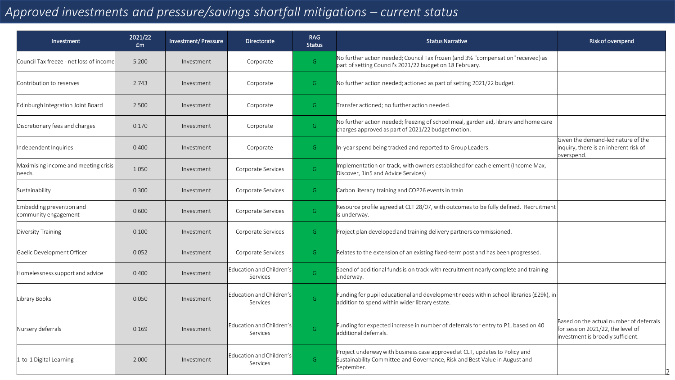### *Approved investments and pressure/savings shortfall mitigations – current status*

| Investment                                       | 2021/22<br>£m | Investment/Pressure | <b>Directorate</b>                   | <b>RAG</b><br><b>Status</b> | <b>Status Narrative</b>                                                                                                                                                | Risk of overspend                                                                                                 |
|--------------------------------------------------|---------------|---------------------|--------------------------------------|-----------------------------|------------------------------------------------------------------------------------------------------------------------------------------------------------------------|-------------------------------------------------------------------------------------------------------------------|
| Council Tax freeze - net loss of incomel         | 5.200         | Investment          | Corporate                            | G                           | No further action needed; Council Tax frozen (and 3% "compensation" received) as<br>part of setting Council's 2021/22 budget on 18 February.                           |                                                                                                                   |
| Contribution to reserves                         | 2.743         | Investment          | Corporate                            | G                           | No further action needed; actioned as part of setting 2021/22 budget.                                                                                                  |                                                                                                                   |
| Edinburgh Integration Joint Board                | 2.500         | Investment          | Corporate                            | G                           | Transfer actioned; no further action needed.                                                                                                                           |                                                                                                                   |
| Discretionary fees and charges                   | 0.170         | Investment          | Corporate                            | $\mathsf{G}$                | No further action needed; freezing of school meal, garden aid, library and home care<br>charges approved as part of 2021/22 budget motion.                             |                                                                                                                   |
| Independent Inquiries                            | 0.400         | Investment          | Corporate                            | G                           | In-year spend being tracked and reported to Group Leaders.                                                                                                             | Given the demand-led nature of the<br>inquiry, there is an inherent risk of<br>overspend.                         |
| Maximising income and meeting crisis<br>needs    | 1.050         | Investment          | Corporate Services                   | G                           | Implementation on track, with owners established for each element (Income Max,<br>Discover, 1in5 and Advice Services)                                                  |                                                                                                                   |
| Sustainability                                   | 0.300         | Investment          | Corporate Services                   | G                           | Carbon literacy training and COP26 events in train                                                                                                                     |                                                                                                                   |
| Embedding prevention and<br>community engagement | 0.600         | Investment          | Corporate Services                   | G                           | Resource profile agreed at CLT 28/07, with outcomes to be fully defined. Recruitment<br>is underway.                                                                   |                                                                                                                   |
| Diversity Training                               | 0.100         | Investment          | Corporate Services                   | G                           | Project plan developed and training delivery partners commissioned.                                                                                                    |                                                                                                                   |
| Gaelic Development Officer                       | 0.052         | Investment          | Corporate Services                   | G                           | Relates to the extension of an existing fixed-term post and has been progressed.                                                                                       |                                                                                                                   |
| Homelessness support and advice                  | 0.400         | Investment          | Education and Children's<br>Services | G                           | Spend of additional funds is on track with recruitment nearly complete and training<br>underway.                                                                       |                                                                                                                   |
| ibrary Books                                     | 0.050         | Investment          | Education and Children's<br>Services | G                           | Funding for pupil educational and development needs within school libraries (£29k), in<br>addition to spend within wider library estate.                               |                                                                                                                   |
| Nursery deferrals                                | 0.169         | Investment          | Education and Children's<br>Services | G                           | Funding for expected increase in number of deferrals for entry to P1, based on 40<br>additional deferrals.                                                             | Based on the actual number of deferrals<br>for session 2021/22, the level of<br>investment is broadly sufficient. |
| 1-to-1 Digital Learning                          | 2.000         | Investment          | Education and Children's<br>Services | $\mathsf{G}$                | Project underway with business case approved at CLT, updates to Policy and<br>Sustainability Committee and Governance, Risk and Best Value in August and<br>September. |                                                                                                                   |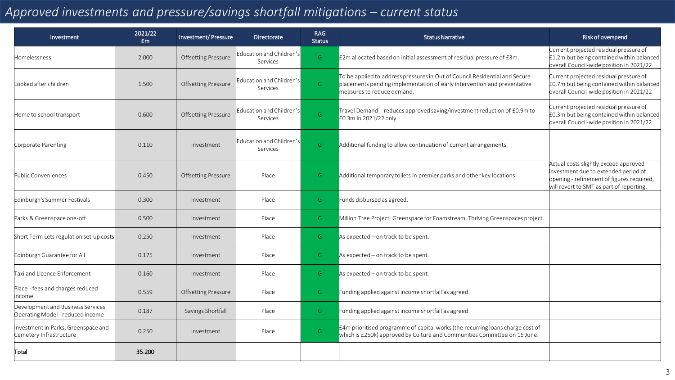### *Approved investments and pressure/savings shortfall mitigations – current status*

| Investment                                                            | 2021/22<br>£m | Investment/Pressure        | <b>Directorate</b>                   | <b>RAG</b><br><b>Status</b>                                                                             | <b>Status Narrative</b>                                                                                                                                                               | Risk of overspend                                                                                                                                                      |
|-----------------------------------------------------------------------|---------------|----------------------------|--------------------------------------|---------------------------------------------------------------------------------------------------------|---------------------------------------------------------------------------------------------------------------------------------------------------------------------------------------|------------------------------------------------------------------------------------------------------------------------------------------------------------------------|
| Homelessness                                                          | 2.000         | <b>Offsetting Pressure</b> | Education and Children's<br>Services | G                                                                                                       | £2m allocated based on initial assessment of residual pressure of £3m.                                                                                                                | Current projected residual pressure of<br>£1.2m but being contained within balanced<br>overall Council-wide position in 2021/22                                        |
| Looked after children                                                 | 1.500         | <b>Offsetting Pressure</b> | Education and Children's<br>Services | $\mathsf{G}$                                                                                            | To be applied to address pressures in Out of Council Residential and Secure<br>placements pending implementation of early intervention and preventative<br>measures to reduce demand. | Current projected residual pressure of<br>£0.7m but being contained within balanced<br>overall Council-wide position in 2021/22                                        |
| Home to school transport                                              | 0.600         | <b>Offsetting Pressure</b> | Education and Children's<br>Services | Travel Demand - reduces approved saving/investment reduction of £0.9m to<br>G<br>£0.3m in 2021/22 only. |                                                                                                                                                                                       | Current projected residual pressure of<br>£0.3m but being contained within balanced<br>overall Council-wide position in 2021/22                                        |
| Corporate Parenting                                                   | 0.110         | Investment                 | Education and Children's<br>Services | G                                                                                                       | Additional funding to allow continuation of current arrangements                                                                                                                      |                                                                                                                                                                        |
| Public Conveniences                                                   | 0.450         | <b>Offsetting Pressure</b> | Place                                | G                                                                                                       | Additional temporary toilets in premier parks and other key locations                                                                                                                 | Actual costs slightly exceed approved<br>investment due to extended period of<br>opening - refinement of figures required,<br>will revert to SMT as part of reporting. |
| Edinburgh's Summer Festivals                                          | 0.300         | Investment                 | Place                                | G                                                                                                       | Funds disbursed as agreed.                                                                                                                                                            |                                                                                                                                                                        |
| Parks & Greenspace one-off                                            | 0.500         | Investment                 | Place                                | G                                                                                                       | Million Tree Project, Greenspace for Foamstream, Thriving Greenspaces project.                                                                                                        |                                                                                                                                                                        |
| Short Term Lets regulation set-up costs                               | 0.250         | Investment                 | Place                                | $\mathsf{G}$                                                                                            | As expected $-$ on track to be spent.                                                                                                                                                 |                                                                                                                                                                        |
| Edinburgh Guarantee for All                                           | 0.175         | Investment                 | Place                                | G                                                                                                       | As expected $-$ on track to be spent.                                                                                                                                                 |                                                                                                                                                                        |
| Taxi and Licence Enforcement                                          | 0.160         | Investment                 | Place                                | G                                                                                                       | As expected $-$ on track to be spent.                                                                                                                                                 |                                                                                                                                                                        |
| Place - fees and charges reduced<br>income                            | 0.559         | <b>Offsetting Pressure</b> | Place                                | G                                                                                                       | Funding applied against income shortfall as agreed.                                                                                                                                   |                                                                                                                                                                        |
| Development and Business Services<br>Operating Model - reduced income | 0.187         | Savings Shortfall          | Place                                | G                                                                                                       | Funding applied against income shortfall as agreed.                                                                                                                                   |                                                                                                                                                                        |
| Investment in Parks, Greenspace and<br>Cemetery Infrastructure        | 0.250         | Investment                 | Place                                | G                                                                                                       | £4m prioritised programme of capital works (the recurring loans charge cost of<br>which is £250k) approved by Culture and Communities Committee on 15 June.                           |                                                                                                                                                                        |
| Total                                                                 | 35.200        |                            |                                      |                                                                                                         |                                                                                                                                                                                       |                                                                                                                                                                        |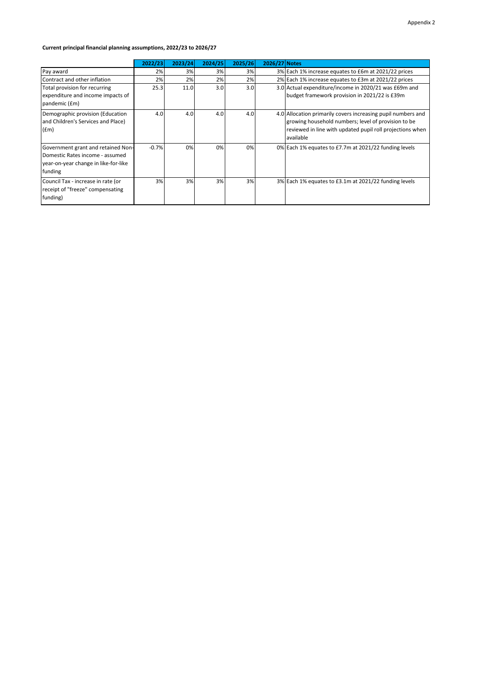#### **Current principal financial planning assumptions, 2022/23 to 2026/27**

|                                                                                                                          | 2022/23 | 2023/24 | 2024/25 | 2025/26 | 2026/27 Notes |                                                                                                                                                                                               |
|--------------------------------------------------------------------------------------------------------------------------|---------|---------|---------|---------|---------------|-----------------------------------------------------------------------------------------------------------------------------------------------------------------------------------------------|
| Pay award                                                                                                                | 2%      | 3%      | 3%      | 3%      |               | 3% Each 1% increase equates to £6m at 2021/22 prices                                                                                                                                          |
| Contract and other inflation                                                                                             | 2%      | 2%      | 2%      | 2%      |               | 2% Each 1% increase equates to £3m at 2021/22 prices                                                                                                                                          |
| Total provision for recurring                                                                                            | 25.3    | 11.0    | 3.0     | 3.0     |               | 3.0 Actual expenditure/income in 2020/21 was £69m and                                                                                                                                         |
| expenditure and income impacts of<br>pandemic (£m)                                                                       |         |         |         |         |               | budget framework provision in 2021/22 is £39m                                                                                                                                                 |
| Demographic provision (Education<br>and Children's Services and Place)<br>(fm)                                           | 4.0     | 4.0     | 4.0     | 4.0     |               | 4.0 Allocation primarily covers increasing pupil numbers and<br>growing household numbers; level of provision to be<br>reviewed in line with updated pupil roll projections when<br>available |
| Government grant and retained Non-<br>Domestic Rates income - assumed<br>year-on-year change in like-for-like<br>funding | $-0.7%$ | 0%      | 0%      | 0%      |               | 0% Each 1% equates to £7.7m at 2021/22 funding levels                                                                                                                                         |
| Council Tax - increase in rate (or<br>receipt of "freeze" compensating<br>funding)                                       | 3%      | 3%      | 3%      | 3%      |               | 3% Each 1% equates to £3.1m at 2021/22 funding levels                                                                                                                                         |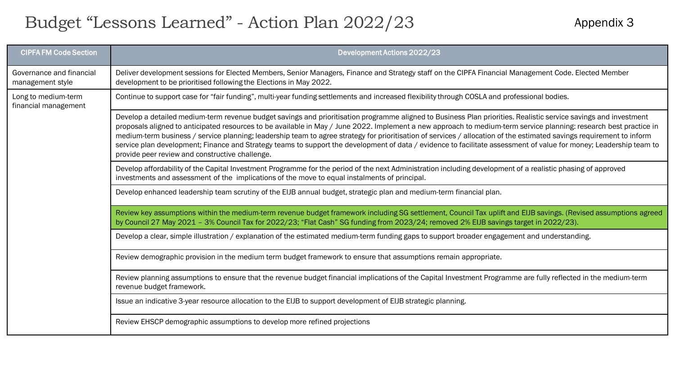# Budget "Lessons Learned" - Action Plan 2022/23

Appendix 3

| <b>CIPFA FM Code Section</b>                 | Development Actions 2022/23                                                                                                                                                                                                                                                                                                                                                                                                                                                                                                                                                                                                                                                                                                              |
|----------------------------------------------|------------------------------------------------------------------------------------------------------------------------------------------------------------------------------------------------------------------------------------------------------------------------------------------------------------------------------------------------------------------------------------------------------------------------------------------------------------------------------------------------------------------------------------------------------------------------------------------------------------------------------------------------------------------------------------------------------------------------------------------|
| Governance and financial<br>management style | Deliver development sessions for Elected Members, Senior Managers, Finance and Strategy staff on the CIPFA Financial Management Code. Elected Member<br>development to be prioritised following the Elections in May 2022.                                                                                                                                                                                                                                                                                                                                                                                                                                                                                                               |
| Long to medium-term<br>financial management  | Continue to support case for "fair funding", multi-year funding settlements and increased flexibility through COSLA and professional bodies.                                                                                                                                                                                                                                                                                                                                                                                                                                                                                                                                                                                             |
|                                              | Develop a detailed medium-term revenue budget savings and prioritisation programme aligned to Business Plan priorities. Realistic service savings and investment<br>proposals aligned to anticipated resources to be available in May / June 2022. Implement a new approach to medium-term service planning: research best practice in<br>medium-term business / service planning; leadership team to agree strategy for prioritisation of services / allocation of the estimated savings requirement to inform<br>service plan development; Finance and Strategy teams to support the development of data / evidence to facilitate assessment of value for money; Leadership team to<br>provide peer review and constructive challenge. |
|                                              | Develop affordability of the Capital Investment Programme for the period of the next Administration including development of a realistic phasing of approved<br>investments and assessment of the implications of the move to equal instalments of principal.                                                                                                                                                                                                                                                                                                                                                                                                                                                                            |
|                                              | Develop enhanced leadership team scrutiny of the EIJB annual budget, strategic plan and medium-term financial plan.                                                                                                                                                                                                                                                                                                                                                                                                                                                                                                                                                                                                                      |
|                                              | Review key assumptions within the medium-term revenue budget framework including SG settlement, Council Tax uplift and EIJB savings. (Revised assumptions agreed<br>by Council 27 May 2021 - 3% Council Tax for 2022/23; "Flat Cash" SG funding from 2023/24; removed 2% EIJB savings target in 2022/23).                                                                                                                                                                                                                                                                                                                                                                                                                                |
|                                              | Develop a clear, simple illustration / explanation of the estimated medium-term funding gaps to support broader engagement and understanding.                                                                                                                                                                                                                                                                                                                                                                                                                                                                                                                                                                                            |
|                                              | Review demographic provision in the medium term budget framework to ensure that assumptions remain appropriate.                                                                                                                                                                                                                                                                                                                                                                                                                                                                                                                                                                                                                          |
|                                              | Review planning assumptions to ensure that the revenue budget financial implications of the Capital Investment Programme are fully reflected in the medium-term<br>revenue budget framework.                                                                                                                                                                                                                                                                                                                                                                                                                                                                                                                                             |
|                                              | Issue an indicative 3-year resource allocation to the EIJB to support development of EIJB strategic planning.                                                                                                                                                                                                                                                                                                                                                                                                                                                                                                                                                                                                                            |
|                                              | Review EHSCP demographic assumptions to develop more refined projections                                                                                                                                                                                                                                                                                                                                                                                                                                                                                                                                                                                                                                                                 |